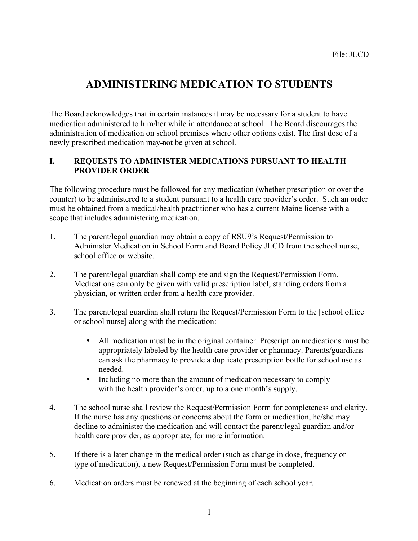# **ADMINISTERING MEDICATION TO STUDENTS**

The Board acknowledges that in certain instances it may be necessary for a student to have medication administered to him/her while in attendance at school. The Board discourages the administration of medication on school premises where other options exist. The first dose of a newly prescribed medication may-not be given at school.

### **I. REQUESTS TO ADMINISTER MEDICATIONS PURSUANT TO HEALTH PROVIDER ORDER**

The following procedure must be followed for any medication (whether prescription or over the counter) to be administered to a student pursuant to a health care provider's order. Such an order must be obtained from a medical/health practitioner who has a current Maine license with a scope that includes administering medication.

- 1. The parent/legal guardian may obtain a copy of RSU9's Request/Permission to Administer Medication in School Form and Board Policy JLCD from the school nurse, school office or website.
- 2. The parent/legal guardian shall complete and sign the Request/Permission Form. Medications can only be given with valid prescription label, standing orders from a physician, or written order from a health care provider.
- 3. The parent/legal guardian shall return the Request/Permission Form to the [school office or school nurse] along with the medication:
	- All medication must be in the original container. Prescription medications must be appropriately labeled by the health care provider or pharmacy. Parents/guardians can ask the pharmacy to provide a duplicate prescription bottle for school use as needed.
	- Including no more than the amount of medication necessary to comply with the health provider's order, up to a one month's supply.
- 4. The school nurse shall review the Request/Permission Form for completeness and clarity. If the nurse has any questions or concerns about the form or medication, he/she may decline to administer the medication and will contact the parent/legal guardian and/or health care provider, as appropriate, for more information.
- 5. If there is a later change in the medical order (such as change in dose, frequency or type of medication), a new Request/Permission Form must be completed.
- 6. Medication orders must be renewed at the beginning of each school year.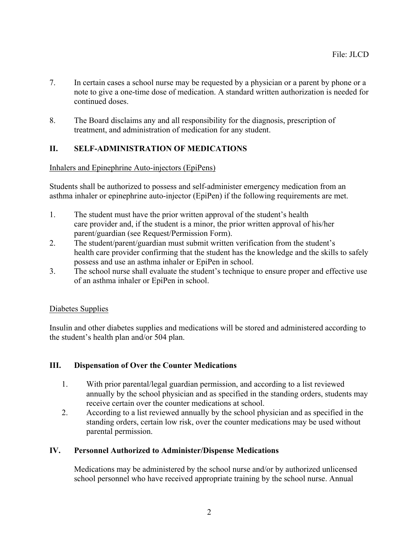- 7. In certain cases a school nurse may be requested by a physician or a parent by phone or a note to give a one-time dose of medication. A standard written authorization is needed for continued doses.
- 8. The Board disclaims any and all responsibility for the diagnosis, prescription of treatment, and administration of medication for any student.

# **II. SELF-ADMINISTRATION OF MEDICATIONS**

## Inhalers and Epinephrine Auto-injectors (EpiPens)

Students shall be authorized to possess and self-administer emergency medication from an asthma inhaler or epinephrine auto-injector (EpiPen) if the following requirements are met.

- 1. The student must have the prior written approval of the student's health care provider and, if the student is a minor, the prior written approval of his/her parent/guardian (see Request/Permission Form).
- 2. The student/parent/guardian must submit written verification from the student's health care provider confirming that the student has the knowledge and the skills to safely possess and use an asthma inhaler or EpiPen in school.
- 3. The school nurse shall evaluate the student's technique to ensure proper and effective use of an asthma inhaler or EpiPen in school.

#### Diabetes Supplies

Insulin and other diabetes supplies and medications will be stored and administered according to the student's health plan and/or 504 plan.

## **III. Dispensation of Over the Counter Medications**

- 1. With prior parental/legal guardian permission, and according to a list reviewed annually by the school physician and as specified in the standing orders, students may receive certain over the counter medications at school.
- 2. According to a list reviewed annually by the school physician and as specified in the standing orders, certain low risk, over the counter medications may be used without parental permission.

#### **IV. Personnel Authorized to Administer/Dispense Medications**

Medications may be administered by the school nurse and/or by authorized unlicensed school personnel who have received appropriate training by the school nurse. Annual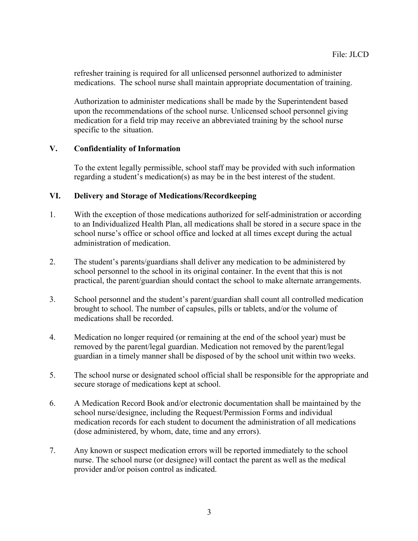refresher training is required for all unlicensed personnel authorized to administer medications. The school nurse shall maintain appropriate documentation of training.

Authorization to administer medications shall be made by the Superintendent based upon the recommendations of the school nurse. Unlicensed school personnel giving medication for a field trip may receive an abbreviated training by the school nurse specific to the situation.

#### **V. Confidentiality of Information**

To the extent legally permissible, school staff may be provided with such information regarding a student's medication(s) as may be in the best interest of the student.

#### **VI. Delivery and Storage of Medications/Recordkeeping**

- 1. With the exception of those medications authorized for self-administration or according to an Individualized Health Plan, all medications shall be stored in a secure space in the school nurse's office or school office and locked at all times except during the actual administration of medication.
- 2. The student's parents/guardians shall deliver any medication to be administered by school personnel to the school in its original container. In the event that this is not practical, the parent/guardian should contact the school to make alternate arrangements.
- 3. School personnel and the student's parent/guardian shall count all controlled medication brought to school. The number of capsules, pills or tablets, and/or the volume of medications shall be recorded.
- 4. Medication no longer required (or remaining at the end of the school year) must be removed by the parent/legal guardian. Medication not removed by the parent/legal guardian in a timely manner shall be disposed of by the school unit within two weeks.
- 5. The school nurse or designated school official shall be responsible for the appropriate and secure storage of medications kept at school.
- 6. A Medication Record Book and/or electronic documentation shall be maintained by the school nurse/designee, including the Request/Permission Forms and individual medication records for each student to document the administration of all medications (dose administered, by whom, date, time and any errors).
- 7. Any known or suspect medication errors will be reported immediately to the school nurse. The school nurse (or designee) will contact the parent as well as the medical provider and/or poison control as indicated.